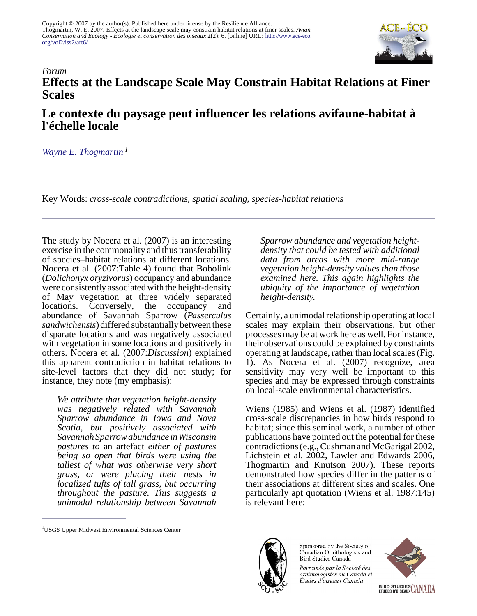

## *Forum* **Effects at the Landscape Scale May Constrain Habitat Relations at Finer Scales**

## **Le contexte du paysage peut influencer les relations avifaune-habitat à l'échelle locale**

## *[Wayne E. Thogmartin](mailto:wthogmartin@usgs.gov)<sup>1</sup>*

Key Words: *cross-scale contradictions, spatial scaling, species-habitat relations*

The study by Nocera et al. (2007) is an interesting exercise in the commonality and thus transferability of species–habitat relations at different locations. Nocera et al. (2007:Table 4) found that Bobolink (*Dolichonyx oryzivorus*) occupancy and abundance were consistently associated with the height-density of May vegetation at three widely separated locations. Conversely, the occupancy and abundance of Savannah Sparrow (*Passerculus sandwichensis*) differed substantially between these disparate locations and was negatively associated with vegetation in some locations and positively in others. Nocera et al. (2007:*Discussion*) explained this apparent contradiction in habitat relations to site-level factors that they did not study; for instance, they note (my emphasis):

*We attribute that vegetation height-density was negatively related with Savannah Sparrow abundance in Iowa and Nova Scotia, but positively associated with Savannah Sparrow abundance in Wisconsin pastures to* an artefact *either of pastures being so open that birds were using the tallest of what was otherwise very short grass, or were placing their nests in localized tufts of tall grass, but occurring throughout the pasture. This suggests a unimodal relationship between Savannah*

*Sparrow abundance and vegetation heightdensity that could be tested with additional data from areas with more mid-range vegetation height-density values than those examined here. This again highlights the ubiquity of the importance of vegetation height-density.* 

Certainly, a unimodal relationship operating at local scales may explain their observations, but other processes may be at work here as well. For instance, their observations could be explained by constraints operating at landscape, rather than local scales (Fig. 1). As Nocera et al. (2007) recognize, area sensitivity may very well be important to this species and may be expressed through constraints on local-scale environmental characteristics.

Wiens (1985) and Wiens et al. (1987) identified cross-scale discrepancies in how birds respond to habitat; since this seminal work, a number of other publications have pointed out the potential for these contradictions (e.g., Cushman and McGarigal 2002, Lichstein et al. 2002, Lawler and Edwards 2006, Thogmartin and Knutson 2007). These reports demonstrated how species differ in the patterns of their associations at different sites and scales. One particularly apt quotation (Wiens et al. 1987:145) is relevant here:



Sponsored by the Society of Canadian Ornithologists and Bird Studies Canada





<sup>&</sup>lt;sup>1</sup>USGS Upper Midwest Environmental Sciences Center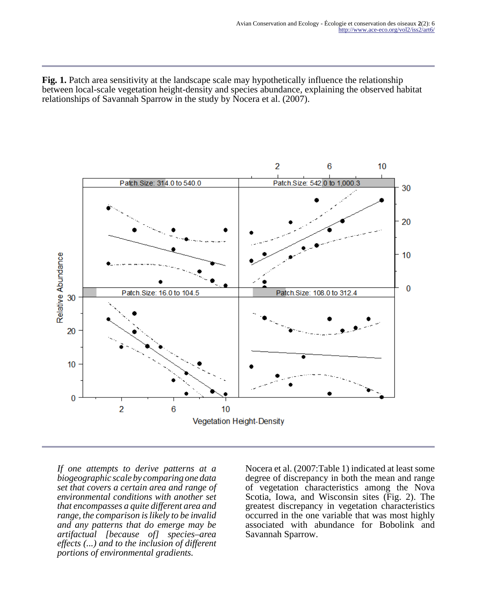**Fig. 1.** Patch area sensitivity at the landscape scale may hypothetically influence the relationship between local-scale vegetation height-density and species abundance, explaining the observed habitat relationships of Savannah Sparrow in the study by Nocera et al. (2007).



*If one attempts to derive patterns at a biogeographic scale by comparing one data set that covers a certain area and range of environmental conditions with another set that encompasses a quite different area and range, the comparison is likely to be invalid and any patterns that do emerge may be artifactual [because of] species–area effects (...) and to the inclusion of different portions of environmental gradients.*

Nocera et al. (2007:Table 1) indicated at least some degree of discrepancy in both the mean and range of vegetation characteristics among the Nova Scotia, Iowa, and Wisconsin sites (Fig. 2). The greatest discrepancy in vegetation characteristics occurred in the one variable that was most highly associated with abundance for Bobolink and Savannah Sparrow.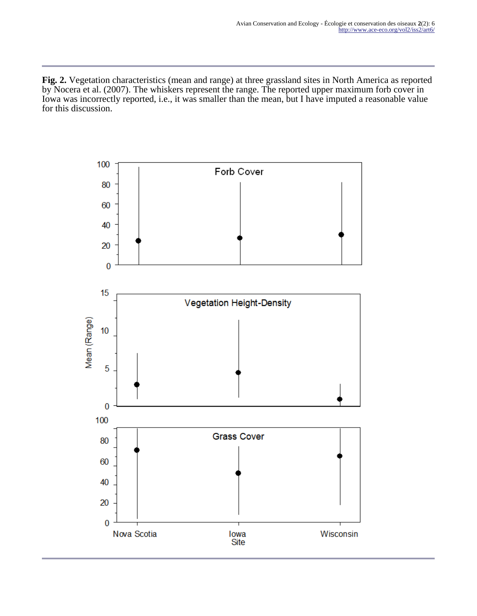**Fig. 2.** Vegetation characteristics (mean and range) at three grassland sites in North America as reported by Nocera et al. (2007). The whiskers represent the range. The reported upper maximum forb cover in Iowa was incorrectly reported, i.e., it was smaller than the mean, but I have imputed a reasonable value for this discussion.